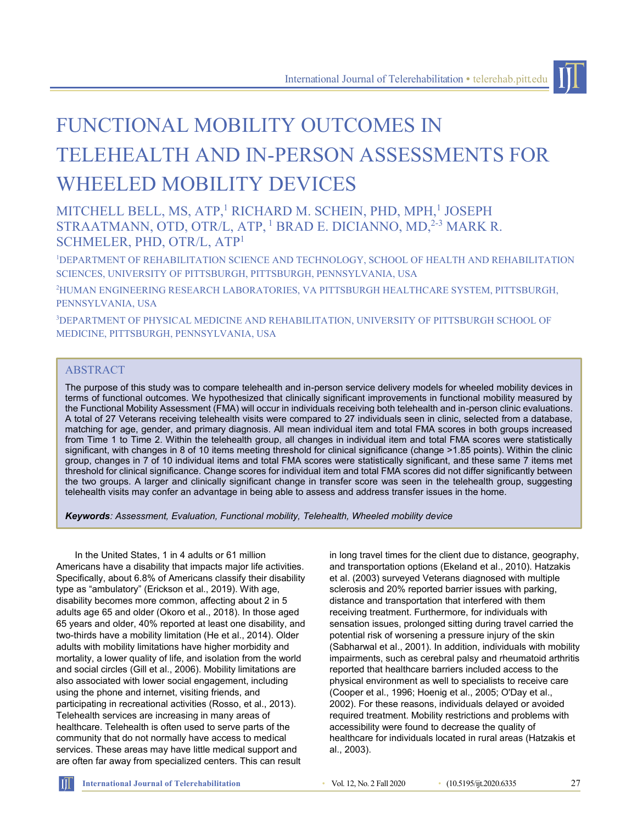# FUNCTIONAL MOBILITY OUTCOMES IN TELEHEALTH AND IN-PERSON ASSESSMENTS FOR WHEELED MOBILITY DEVICES

## MITCHELL BELL, MS, ATP,<sup>1</sup> RICHARD M. SCHEIN, PHD, MPH,<sup>1</sup> JOSEPH STRAATMANN, OTD, OTR/L, ATP, <sup>1</sup> BRAD E. DICIANNO, MD,<sup>2-3</sup> MARK R. SCHMELER, PHD, OTR/L, ATP<sup>1</sup>

<sup>1</sup>DEPARTMENT OF REHABILITATION SCIENCE AND TECHNOLOGY, SCHOOL OF HEALTH AND REHABILITATION SCIENCES, UNIVERSITY OF PITTSBURGH, PITTSBURGH, PENNSYLVANIA, USA

<sup>2</sup>HUMAN ENGINEERING RESEARCH LABORATORIES, VA PITTSBURGH HEALTHCARE SYSTEM, PITTSBURGH, PENNSYLVANIA, USA

<sup>3</sup>DEPARTMENT OF PHYSICAL MEDICINE AND REHABILITATION, UNIVERSITY OF PITTSBURGH SCHOOL OF MEDICINE, PITTSBURGH, PENNSYLVANIA, USA

### ABSTRACT

The purpose of this study was to compare telehealth and in-person service delivery models for wheeled mobility devices in terms of functional outcomes. We hypothesized that clinically significant improvements in functional mobility measured by the Functional Mobility Assessment (FMA) will occur in individuals receiving both telehealth and in-person clinic evaluations. A total of 27 Veterans receiving telehealth visits were compared to 27 individuals seen in clinic, selected from a database, matching for age, gender, and primary diagnosis. All mean individual item and total FMA scores in both groups increased from Time 1 to Time 2. Within the telehealth group, all changes in individual item and total FMA scores were statistically significant, with changes in 8 of 10 items meeting threshold for clinical significance (change >1.85 points). Within the clinic group, changes in 7 of 10 individual items and total FMA scores were statistically significant, and these same 7 items met threshold for clinical significance. Change scores for individual item and total FMA scores did not differ significantly between the two groups. A larger and clinically significant change in transfer score was seen in the telehealth group, suggesting telehealth visits may confer an advantage in being able to assess and address transfer issues in the home.

*Keywords: Assessment, Evaluation, Functional mobility, Telehealth, Wheeled mobility device*

In the United States, 1 in 4 adults or 61 million Americans have a disability that impacts major life activities. Specifically, about 6.8% of Americans classify their disability type as "ambulatory" (Erickson et al., 2019). With age, disability becomes more common, affecting about 2 in 5 adults age 65 and older (Okoro et al., 2018). In those aged 65 years and older, 40% reported at least one disability, and two-thirds have a mobility limitation (He et al., 2014). Older adults with mobility limitations have higher morbidity and mortality, a lower quality of life, and isolation from the world and social circles (Gill et al., 2006). Mobility limitations are also associated with lower social engagement, including using the phone and internet, visiting friends, and participating in recreational activities (Rosso, et al., 2013). Telehealth services are increasing in many areas of healthcare. Telehealth is often used to serve parts of the community that do not normally have access to medical services. These areas may have little medical support and are often far away from specialized centers. This can result

in long travel times for the client due to distance, geography, and transportation options (Ekeland et al., 2010). Hatzakis et al. (2003) surveyed Veterans diagnosed with multiple sclerosis and 20% reported barrier issues with parking, distance and transportation that interfered with them receiving treatment. Furthermore, for individuals with sensation issues, prolonged sitting during travel carried the potential risk of worsening a pressure injury of the skin (Sabharwal et al., 2001). In addition, individuals with mobility impairments, such as cerebral palsy and rheumatoid arthritis reported that healthcare barriers included access to the physical environment as well to specialists to receive care (Cooper et al., 1996; Hoenig et al., 2005; O'Day et al., 2002). For these reasons, individuals delayed or avoided required treatment. Mobility restrictions and problems with accessibility were found to decrease the quality of healthcare for individuals located in rural areas (Hatzakis et al., 2003).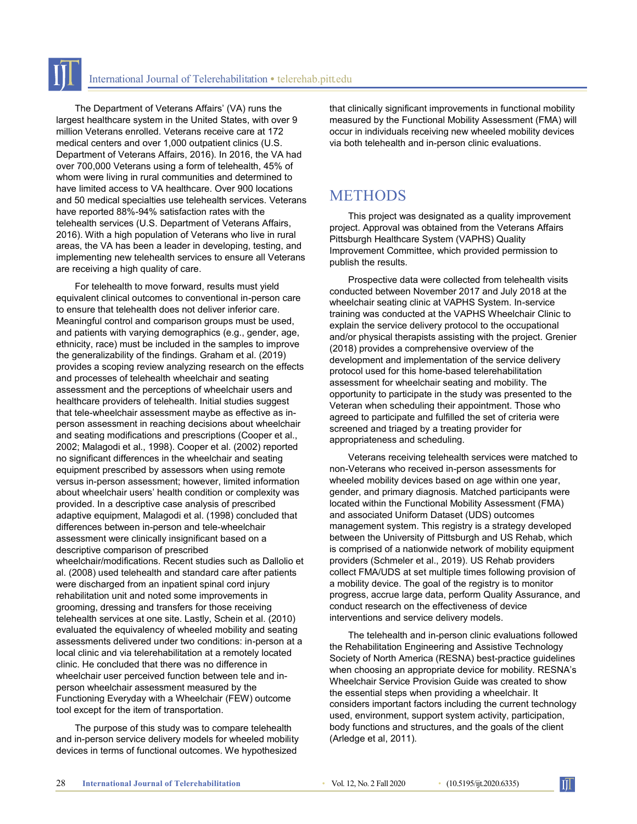The Department of Veterans Affairs' (VA) runs the largest healthcare system in the United States, with over 9 million Veterans enrolled. Veterans receive care at 172 medical centers and over 1,000 outpatient clinics (U.S. Department of Veterans Affairs, 2016). In 2016, the VA had over 700,000 Veterans using a form of telehealth, 45% of whom were living in rural communities and determined to have limited access to VA healthcare. Over 900 locations and 50 medical specialties use telehealth services. Veterans have reported 88%-94% satisfaction rates with the telehealth services (U.S. Department of Veterans Affairs, 2016). With a high population of Veterans who live in rural areas, the VA has been a leader in developing, testing, and implementing new telehealth services to ensure all Veterans are receiving a high quality of care.

For telehealth to move forward, results must yield equivalent clinical outcomes to conventional in-person care to ensure that telehealth does not deliver inferior care. Meaningful control and comparison groups must be used, and patients with varying demographics (e.g., gender, age, ethnicity, race) must be included in the samples to improve the generalizability of the findings. Graham et al. (2019) provides a scoping review analyzing research on the effects and processes of telehealth wheelchair and seating assessment and the perceptions of wheelchair users and healthcare providers of telehealth. Initial studies suggest that tele-wheelchair assessment maybe as effective as inperson assessment in reaching decisions about wheelchair and seating modifications and prescriptions (Cooper et al., 2002; Malagodi et al., 1998). Cooper et al. (2002) reported no significant differences in the wheelchair and seating equipment prescribed by assessors when using remote versus in-person assessment; however, limited information about wheelchair users' health condition or complexity was provided. In a descriptive case analysis of prescribed adaptive equipment, Malagodi et al. (1998) concluded that differences between in-person and tele-wheelchair assessment were clinically insignificant based on a descriptive comparison of prescribed wheelchair/modifications. Recent studies such as Dallolio et al. (2008) used telehealth and standard care after patients were discharged from an inpatient spinal cord injury rehabilitation unit and noted some improvements in grooming, dressing and transfers for those receiving telehealth services at one site. Lastly, Schein et al. (2010) evaluated the equivalency of wheeled mobility and seating assessments delivered under two conditions: in-person at a local clinic and via telerehabilitation at a remotely located clinic. He concluded that there was no difference in wheelchair user perceived function between tele and inperson wheelchair assessment measured by the Functioning Everyday with a Wheelchair (FEW) outcome tool except for the item of transportation.

The purpose of this study was to compare telehealth and in-person service delivery models for wheeled mobility devices in terms of functional outcomes. We hypothesized

that clinically significant improvements in functional mobility measured by the Functional Mobility Assessment (FMA) will occur in individuals receiving new wheeled mobility devices via both telehealth and in-person clinic evaluations.

# **METHODS**

This project was designated as a quality improvement project. Approval was obtained from the Veterans Affairs Pittsburgh Healthcare System (VAPHS) Quality Improvement Committee, which provided permission to publish the results.

Prospective data were collected from telehealth visits conducted between November 2017 and July 2018 at the wheelchair seating clinic at VAPHS System. In-service training was conducted at the VAPHS Wheelchair Clinic to explain the service delivery protocol to the occupational and/or physical therapists assisting with the project. Grenier (2018) provides a comprehensive overview of the development and implementation of the service delivery protocol used for this home-based telerehabilitation assessment for wheelchair seating and mobility. The opportunity to participate in the study was presented to the Veteran when scheduling their appointment. Those who agreed to participate and fulfilled the set of criteria were screened and triaged by a treating provider for appropriateness and scheduling.

Veterans receiving telehealth services were matched to non-Veterans who received in-person assessments for wheeled mobility devices based on age within one year, gender, and primary diagnosis. Matched participants were located within the Functional Mobility Assessment (FMA) and associated Uniform Dataset (UDS) outcomes management system. This registry is a strategy developed between the University of Pittsburgh and US Rehab, which is comprised of a nationwide network of mobility equipment providers (Schmeler et al., 2019). US Rehab providers collect FMA/UDS at set multiple times following provision of a mobility device. The goal of the registry is to monitor progress, accrue large data, perform Quality Assurance, and conduct research on the effectiveness of device interventions and service delivery models.

The telehealth and in-person clinic evaluations followed the Rehabilitation Engineering and Assistive Technology Society of North America (RESNA) best-practice guidelines when choosing an appropriate device for mobility. RESNA's Wheelchair Service Provision Guide was created to show the essential steps when providing a wheelchair. It considers important factors including the current technology used, environment, support system activity, participation, body functions and structures, and the goals of the client (Arledge et al, 2011).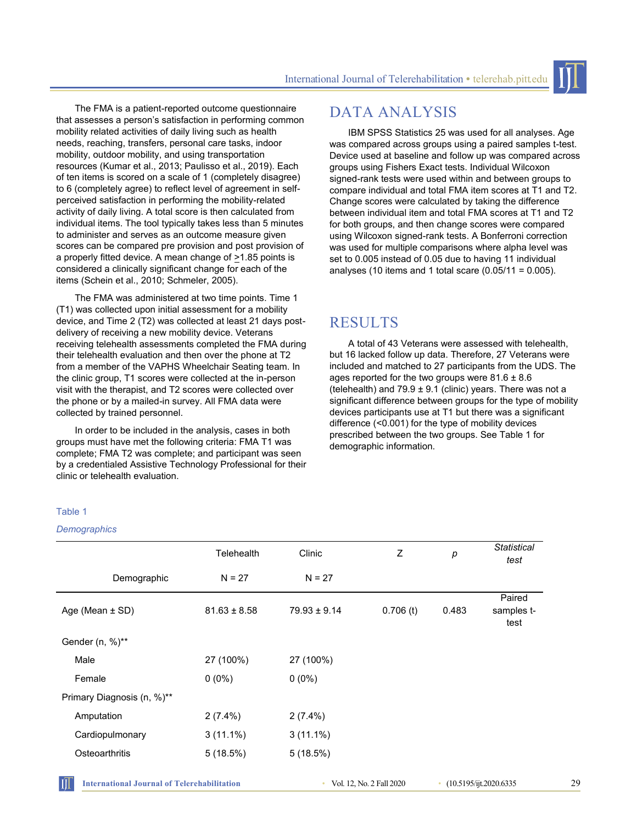The FMA is a patient-reported outcome questionnaire that assesses a person's satisfaction in performing common mobility related activities of daily living such as health needs, reaching, transfers, personal care tasks, indoor mobility, outdoor mobility, and using transportation resources (Kumar et al., 2013; Paulisso et al., 2019). Each of ten items is scored on a scale of 1 (completely disagree) to 6 (completely agree) to reflect level of agreement in selfperceived satisfaction in performing the mobility-related activity of daily living. A total score is then calculated from individual items. The tool typically takes less than 5 minutes to administer and serves as an outcome measure given scores can be compared pre provision and post provision of a properly fitted device. A mean change of  $\geq 1.85$  points is considered a clinically significant change for each of the items (Schein et al., 2010; Schmeler, 2005).

The FMA was administered at two time points. Time 1 (T1) was collected upon initial assessment for a mobility device, and Time 2 (T2) was collected at least 21 days postdelivery of receiving a new mobility device. Veterans receiving telehealth assessments completed the FMA during their telehealth evaluation and then over the phone at T2 from a member of the VAPHS Wheelchair Seating team. In the clinic group, T1 scores were collected at the in-person visit with the therapist, and T2 scores were collected over the phone or by a mailed-in survey. All FMA data were collected by trained personnel.

In order to be included in the analysis, cases in both groups must have met the following criteria: FMA T1 was complete; FMA T2 was complete; and participant was seen by a credentialed Assistive Technology Professional for their clinic or telehealth evaluation.

# DATA ANALYSIS

IBM SPSS Statistics 25 was used for all analyses. Age was compared across groups using a paired samples t-test. Device used at baseline and follow up was compared across groups using Fishers Exact tests. Individual Wilcoxon signed-rank tests were used within and between groups to compare individual and total FMA item scores at T1 and T2. Change scores were calculated by taking the difference between individual item and total FMA scores at T1 and T2 for both groups, and then change scores were compared using Wilcoxon signed-rank tests. A Bonferroni correction was used for multiple comparisons where alpha level was set to 0.005 instead of 0.05 due to having 11 individual analyses (10 items and 1 total scare  $(0.05/11 = 0.005)$ .

## RESULTS

A total of 43 Veterans were assessed with telehealth, but 16 lacked follow up data. Therefore, 27 Veterans were included and matched to 27 participants from the UDS. The ages reported for the two groups were  $81.6 \pm 8.6$ (telehealth) and  $79.9 \pm 9.1$  (clinic) years. There was not a significant difference between groups for the type of mobility devices participants use at T1 but there was a significant difference (<0.001) for the type of mobility devices prescribed between the two groups. See Table 1 for demographic information.

#### Table 1

#### *Demographics*

| <b>Telehealth</b> | Clinic           | Z           | p     | <b>Statistical</b><br>test   |
|-------------------|------------------|-------------|-------|------------------------------|
| $N = 27$          | $N = 27$         |             |       |                              |
| $81.63 \pm 8.58$  | $79.93 \pm 9.14$ | $0.706$ (t) | 0.483 | Paired<br>samples t-<br>test |
|                   |                  |             |       |                              |
| 27 (100%)         | 27 (100%)        |             |       |                              |
| $0(0\%)$          | $0(0\%)$         |             |       |                              |
|                   |                  |             |       |                              |
| $2(7.4\%)$        | $2(7.4\%)$       |             |       |                              |
| $3(11.1\%)$       | $3(11.1\%)$      |             |       |                              |
| 5(18.5%)          | 5(18.5%)         |             |       |                              |
|                   |                  |             |       |                              |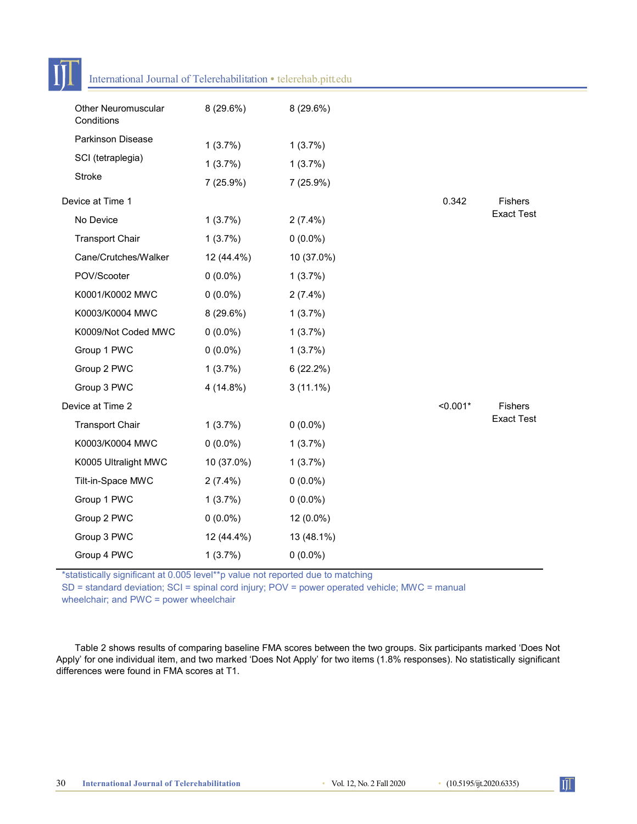|                  | International Journal of Telerehabilitation • telerehab.pitt.edu |            |             |            |                   |
|------------------|------------------------------------------------------------------|------------|-------------|------------|-------------------|
|                  | <b>Other Neuromuscular</b><br>Conditions                         | 8 (29.6%)  | 8 (29.6%)   |            |                   |
|                  | Parkinson Disease                                                | 1(3.7%)    | 1(3.7%)     |            |                   |
|                  | SCI (tetraplegia)                                                | 1(3.7%)    | 1(3.7%)     |            |                   |
|                  | Stroke                                                           | 7 (25.9%)  | 7 (25.9%)   |            |                   |
| Device at Time 1 |                                                                  |            | 0.342       | Fishers    |                   |
|                  | No Device                                                        | 1(3.7%)    | $2(7.4\%)$  |            | <b>Exact Test</b> |
|                  | <b>Transport Chair</b>                                           | 1(3.7%)    | $0(0.0\%)$  |            |                   |
|                  | Cane/Crutches/Walker                                             | 12 (44.4%) | 10 (37.0%)  |            |                   |
|                  | POV/Scooter                                                      | $0(0.0\%)$ | 1(3.7%)     |            |                   |
|                  | K0001/K0002 MWC                                                  | $0(0.0\%)$ | $2(7.4\%)$  |            |                   |
|                  | K0003/K0004 MWC                                                  | 8 (29.6%)  | 1(3.7%)     |            |                   |
|                  | K0009/Not Coded MWC                                              | $0(0.0\%)$ | 1(3.7%)     |            |                   |
|                  | Group 1 PWC                                                      | $0(0.0\%)$ | 1(3.7%)     |            |                   |
|                  | Group 2 PWC                                                      | 1(3.7%)    | 6(22.2%)    |            |                   |
|                  | Group 3 PWC                                                      | 4 (14.8%)  | $3(11.1\%)$ |            |                   |
|                  | Device at Time 2                                                 |            |             | $< 0.001*$ | Fishers           |
|                  | <b>Transport Chair</b>                                           | 1(3.7%)    | $0(0.0\%)$  |            | <b>Exact Test</b> |
|                  | K0003/K0004 MWC                                                  | $0(0.0\%)$ | 1(3.7%)     |            |                   |
|                  | K0005 Ultralight MWC                                             | 10 (37.0%) | 1(3.7%)     |            |                   |
|                  | Tilt-in-Space MWC                                                | $2(7.4\%)$ | $0(0.0\%)$  |            |                   |
|                  | Group 1 PWC                                                      | 1(3.7%)    | $0(0.0\%)$  |            |                   |
|                  | Group 2 PWC                                                      | $0(0.0\%)$ | 12 (0.0%)   |            |                   |
|                  | Group 3 PWC                                                      | 12 (44.4%) | 13 (48.1%)  |            |                   |
|                  | Group 4 PWC                                                      | 1(3.7%)    | $0(0.0\%)$  |            |                   |
|                  |                                                                  |            |             |            |                   |

\*statistically significant at 0.005 level\*\*p value not reported due to matching

SD = standard deviation; SCI = spinal cord injury; POV = power operated vehicle; MWC = manual

wheelchair; and PWC = power wheelchair

rТ

Table 2 shows results of comparing baseline FMA scores between the two groups. Six participants marked 'Does Not Apply' for one individual item, and two marked 'Does Not Apply' for two items (1.8% responses). No statistically significant differences were found in FMA scores at T1.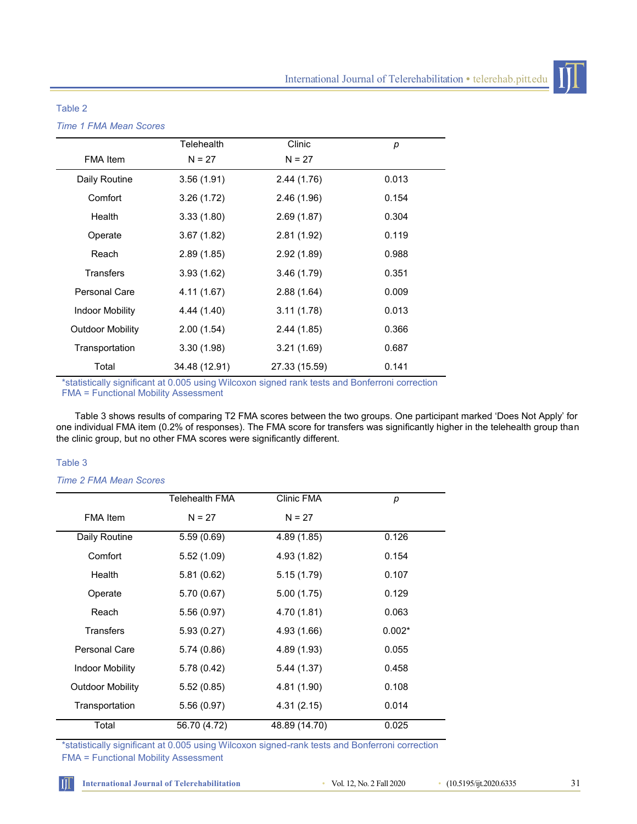

### Table 2

*Time 1 FMA Mean Scores*

|                         | Telehealth    | Clinic        | р     |  |
|-------------------------|---------------|---------------|-------|--|
| <b>FMA</b> Item         | $N = 27$      | $N = 27$      |       |  |
| Daily Routine           | 3.56(1.91)    | 2.44(1.76)    | 0.013 |  |
| Comfort                 | 3.26(1.72)    | 2.46(1.96)    | 0.154 |  |
| Health                  | 3.33(1.80)    | 2.69(1.87)    | 0.304 |  |
| Operate                 | 3.67(1.82)    | 2.81(1.92)    | 0.119 |  |
| Reach                   | 2.89(1.85)    | 2.92(1.89)    | 0.988 |  |
| <b>Transfers</b>        | 3.93(1.62)    | 3.46(1.79)    | 0.351 |  |
| Personal Care           | 4.11 (1.67)   | 2.88(1.64)    | 0.009 |  |
| <b>Indoor Mobility</b>  | 4.44 (1.40)   | 3.11(1.78)    | 0.013 |  |
| <b>Outdoor Mobility</b> | 2.00(1.54)    | 2.44(1.85)    | 0.366 |  |
| Transportation          | 3.30(1.98)    | 3.21(1.69)    | 0.687 |  |
| Total                   | 34.48 (12.91) | 27.33 (15.59) | 0.141 |  |

\*statistically significant at 0.005 using Wilcoxon signed rank tests and Bonferroni correction FMA = Functional Mobility Assessment

Table 3 shows results of comparing T2 FMA scores between the two groups. One participant marked 'Does Not Apply' for one individual FMA item (0.2% of responses). The FMA score for transfers was significantly higher in the telehealth group than the clinic group, but no other FMA scores were significantly different.

### Table 3

ŤĪ

*Time 2 FMA Mean Scores*

|                         | Telehealth FMA | Clinic FMA    | p        |
|-------------------------|----------------|---------------|----------|
| <b>FMA</b> Item         | $N = 27$       | $N = 27$      |          |
| Daily Routine           | 5.59(0.69)     | 4.89 (1.85)   | 0.126    |
| Comfort                 | 5.52(1.09)     | 4.93 (1.82)   | 0.154    |
| Health                  | 5.81(0.62)     | 5.15(1.79)    | 0.107    |
| Operate                 | 5.70(0.67)     | 5.00(1.75)    | 0.129    |
| Reach                   | 5.56(0.97)     | 4.70 (1.81)   | 0.063    |
| Transfers               | 5.93(0.27)     | 4.93 (1.66)   | $0.002*$ |
| Personal Care           | 5.74 (0.86)    | 4.89 (1.93)   | 0.055    |
| <b>Indoor Mobility</b>  | 5.78 (0.42)    | 5.44(1.37)    | 0.458    |
| <b>Outdoor Mobility</b> | 5.52(0.85)     | 4.81 (1.90)   | 0.108    |
| Transportation          | 5.56(0.97)     | 4.31(2.15)    | 0.014    |
| Total                   | 56.70 (4.72)   | 48.89 (14.70) | 0.025    |

\*statistically significant at 0.005 using Wilcoxon signed-rank tests and Bonferroni correction FMA = Functional Mobility Assessment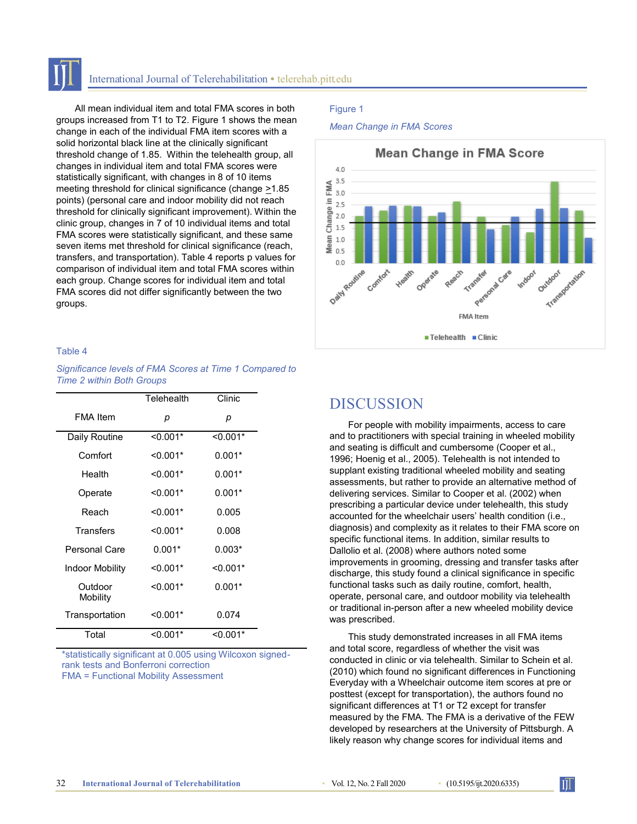### International Journal of Telerehabilitation **•** telerehab.pitt.edu

All mean individual item and total FMA scores in both groups increased from T1 to T2. Figure 1 shows the mean change in each of the individual FMA item scores with a solid horizontal black line at the clinically significant threshold change of 1.85. Within the telehealth group, all changes in individual item and total FMA scores were statistically significant, with changes in 8 of 10 items meeting threshold for clinical significance (change  $\geq 1.85$ points) (personal care and indoor mobility did not reach threshold for clinically significant improvement). Within the clinic group, changes in 7 of 10 individual items and total FMA scores were statistically significant, and these same seven items met threshold for clinical significance (reach, transfers, and transportation). Table 4 reports p values for comparison of individual item and total FMA scores within each group. Change scores for individual item and total FMA scores did not differ significantly between the two groups.

#### Table 4

*Significance levels of FMA Scores at Time 1 Compared to Time 2 within Both Groups*

|                     | Telehealth | Clinic     |  |
|---------------------|------------|------------|--|
| FMA Item            | р          | р          |  |
| Daily Routine       | $< 0.001*$ | $< 0.001*$ |  |
| Comfort             | $< 0.001*$ | $0.001*$   |  |
| Health              | $< 0.001*$ | $0.001*$   |  |
| Operate             | $< 0.001*$ | $0.001*$   |  |
| Reach               | $< 0.001*$ | 0.005      |  |
| Transfers           | $< 0.001*$ | 0.008      |  |
| Personal Care       | $0.001*$   | $0.003*$   |  |
| Indoor Mobility     | $< 0.001*$ | $< 0.001*$ |  |
| Outdoor<br>Mobility | $< 0.001*$ | $0.001*$   |  |
| Transportation      | $< 0.001*$ | 0.074      |  |
| Total               | $< 0.001*$ | $< 0.001*$ |  |

\*statistically significant at 0.005 using Wilcoxon signedrank tests and Bonferroni correction FMA = Functional Mobility Assessment

#### Figure 1

*Mean Change in FMA Scores*



### **DISCUSSION**

For people with mobility impairments, access to care and to practitioners with special training in wheeled mobility and seating is difficult and cumbersome (Cooper et al., 1996; Hoenig et al., 2005). Telehealth is not intended to supplant existing traditional wheeled mobility and seating assessments, but rather to provide an alternative method of delivering services. Similar to Cooper et al. (2002) when prescribing a particular device under telehealth, this study accounted for the wheelchair users' health condition (i.e., diagnosis) and complexity as it relates to their FMA score on specific functional items. In addition, similar results to Dallolio et al. (2008) where authors noted some improvements in grooming, dressing and transfer tasks after discharge, this study found a clinical significance in specific functional tasks such as daily routine, comfort, health, operate, personal care, and outdoor mobility via telehealth or traditional in-person after a new wheeled mobility device was prescribed.

This study demonstrated increases in all FMA items and total score, regardless of whether the visit was conducted in clinic or via telehealth. Similar to Schein et al. (2010) which found no significant differences in Functioning Everyday with a Wheelchair outcome item scores at pre or posttest (except for transportation), the authors found no significant differences at T1 or T2 except for transfer measured by the FMA. The FMA is a derivative of the FEW developed by researchers at the University of Pittsburgh. A likely reason why change scores for individual items and

Ĥ.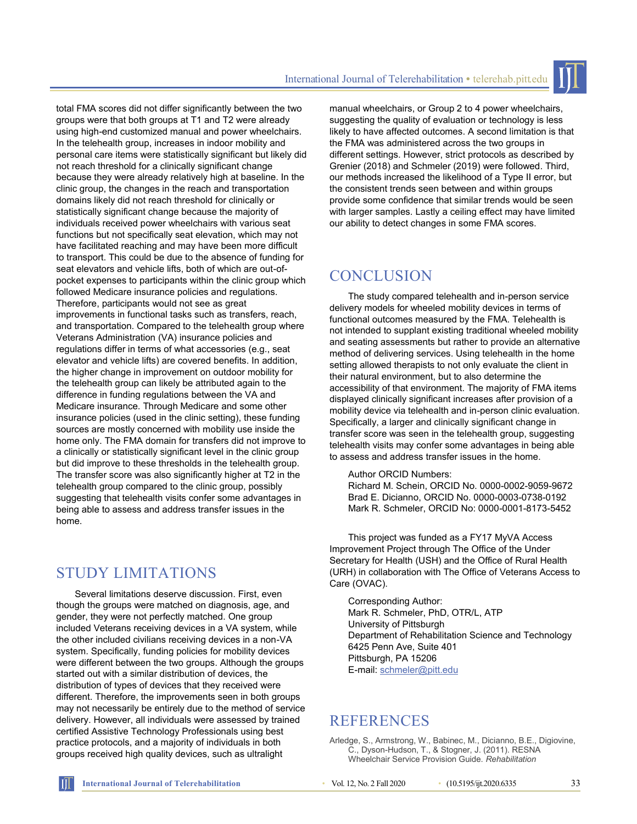total FMA scores did not differ significantly between the two groups were that both groups at T1 and T2 were already using high-end customized manual and power wheelchairs. In the telehealth group, increases in indoor mobility and personal care items were statistically significant but likely did not reach threshold for a clinically significant change because they were already relatively high at baseline. In the clinic group, the changes in the reach and transportation domains likely did not reach threshold for clinically or statistically significant change because the majority of individuals received power wheelchairs with various seat functions but not specifically seat elevation, which may not have facilitated reaching and may have been more difficult to transport. This could be due to the absence of funding for seat elevators and vehicle lifts, both of which are out-ofpocket expenses to participants within the clinic group which followed Medicare insurance policies and regulations. Therefore, participants would not see as great improvements in functional tasks such as transfers, reach, and transportation. Compared to the telehealth group where Veterans Administration (VA) insurance policies and regulations differ in terms of what accessories (e.g., seat elevator and vehicle lifts) are covered benefits. In addition, the higher change in improvement on outdoor mobility for the telehealth group can likely be attributed again to the difference in funding regulations between the VA and Medicare insurance. Through Medicare and some other insurance policies (used in the clinic setting), these funding sources are mostly concerned with mobility use inside the home only. The FMA domain for transfers did not improve to a clinically or statistically significant level in the clinic group but did improve to these thresholds in the telehealth group. The transfer score was also significantly higher at T2 in the telehealth group compared to the clinic group, possibly suggesting that telehealth visits confer some advantages in being able to assess and address transfer issues in the home.

# STUDY LIMITATIONS

Several limitations deserve discussion. First, even though the groups were matched on diagnosis, age, and gender, they were not perfectly matched. One group included Veterans receiving devices in a VA system, while the other included civilians receiving devices in a non-VA system. Specifically, funding policies for mobility devices were different between the two groups. Although the groups started out with a similar distribution of devices, the distribution of types of devices that they received were different. Therefore, the improvements seen in both groups may not necessarily be entirely due to the method of service delivery. However, all individuals were assessed by trained certified Assistive Technology Professionals using best practice protocols, and a majority of individuals in both groups received high quality devices, such as ultralight

manual wheelchairs, or Group 2 to 4 power wheelchairs, suggesting the quality of evaluation or technology is less likely to have affected outcomes. A second limitation is that the FMA was administered across the two groups in different settings. However, strict protocols as described by Grenier (2018) and Schmeler (2019) were followed. Third, our methods increased the likelihood of a Type II error, but the consistent trends seen between and within groups provide some confidence that similar trends would be seen with larger samples. Lastly a ceiling effect may have limited our ability to detect changes in some FMA scores.

# **CONCLUSION**

The study compared telehealth and in-person service delivery models for wheeled mobility devices in terms of functional outcomes measured by the FMA. Telehealth is not intended to supplant existing traditional wheeled mobility and seating assessments but rather to provide an alternative method of delivering services. Using telehealth in the home setting allowed therapists to not only evaluate the client in their natural environment, but to also determine the accessibility of that environment. The majority of FMA items displayed clinically significant increases after provision of a mobility device via telehealth and in-person clinic evaluation. Specifically, a larger and clinically significant change in transfer score was seen in the telehealth group, suggesting telehealth visits may confer some advantages in being able to assess and address transfer issues in the home.

### Author ORCID Numbers:

Richard M. Schein, ORCID No. 0000-0002-9059-9672 Brad E. Dicianno, ORCID No. 0000-0003-0738-0192 Mark R. Schmeler, ORCID No: 0000-0001-8173-5452

This project was funded as a FY17 MyVA Access Improvement Project through The Office of the Under Secretary for Health (USH) and the Office of Rural Health (URH) in collaboration with The Office of Veterans Access to Care (OVAC).

Corresponding Author: Mark R. Schmeler, PhD, OTR/L, ATP University of Pittsburgh Department of Rehabilitation Science and Technology 6425 Penn Ave, Suite 401 Pittsburgh, PA 15206 E-mail: [schmeler@pitt.edu](mailto:schmeler@pitt.edu)

## **REFERENCES**

Arledge, S., Armstrong, W., Babinec, M., Dicianno, B.E., Digiovine, C., Dyson-Hudson, T., & Stogner, J. (2011). RESNA Wheelchair Service Provision Guide. *Rehabilitation*